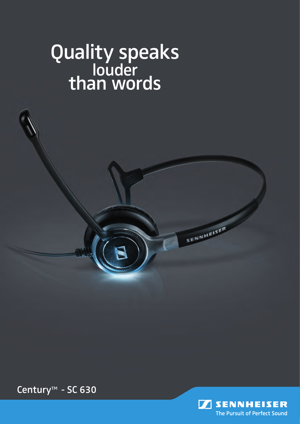# Quality speaks **louder** than words

Century<sup>™</sup> - SC 630



SENNHEISER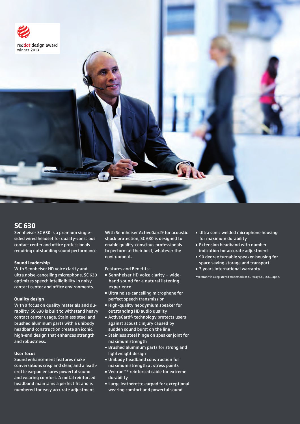

### **SC 630**

Sennheiser SC 630 is a premium singlesided wired headset for quality-conscious contact center and office professionals requiring outstanding sound performance.

#### **Sound leadership**

With Sennheiser HD voice clarity and ultra noise-cancelling microphone, SC 630 optimizes speech intelligibility in noisy contact center and office environments.

#### **Quality design**

With a focus on quality materials and durability, SC 630 is built to withstand heavy contact center usage. Stainless steel and brushed aluminum parts with a unibody headband construction create an iconic, high-end design that enhances strength and robustness.

#### **User focus**

Sound enhancement features make conversations crisp and clear, and a leatherette earpad ensures powerful sound and wearing comfort. A metal reinforced headband maintains a perfect fit and is numbered for easy accurate adjustment.

With Sennheiser ActiveGard® for acoustic shock protection, SC 630 is designed to enable quality-conscious professionals to perform at their best, whatever the environment.

Features and Benefits:

- Sennheiser HD voice clarity wideband sound for a natural listening experience
- Ultra noise-cancelling microphone for perfect speech transmission
- High-quality neodymium speaker for outstanding HD audio quality
- ActiveGard<sup>®</sup> technology protects users against acoustic injury caused by sudden sound burst on the line
- Stainless steel hinge on speaker joint for maximum strength
- Brushed aluminum parts for strong and lightweight design
- Unibody headband construction for maximum strength at stress points
- Vectran™\* reinforced cable for extreme durability
- Large leatherette earpad for exceptional wearing comfort and powerful sound
- Ultra sonic welded microphone housing for maximum durability
- **Extension headband with number** indication for accurate adjustment
- 90 degree turnable speaker-housing for space saving storage and transport
- 3 years international warranty

\*Vectran™ is a registered trademark of Kuraray Co., Ltd., Japan.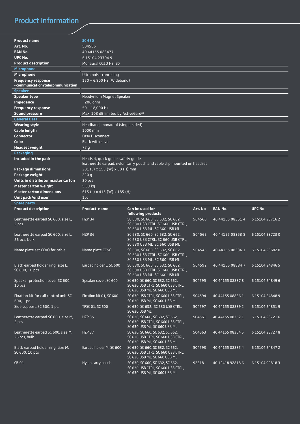# Product Information

| <b>Product name</b>                                | <b>SC 630</b>                       |                                                                         |         |                  |                 |
|----------------------------------------------------|-------------------------------------|-------------------------------------------------------------------------|---------|------------------|-----------------|
| Art. No.                                           | 504556                              |                                                                         |         |                  |                 |
| <b>EAN No.</b>                                     | 40 44155 083477                     |                                                                         |         |                  |                 |
| UPC No.                                            | 6 15104 23704 9                     |                                                                         |         |                  |                 |
| <b>Product description</b>                         | Monaural CC&O HS, ED                |                                                                         |         |                  |                 |
| Microphone                                         |                                     |                                                                         |         |                  |                 |
| Microphone                                         | Ultra noise-cancelling              |                                                                         |         |                  |                 |
| <b>Frequency response</b>                          | 150 - 6,800 Hz (Wideband)           |                                                                         |         |                  |                 |
| - communication/telecommunication                  |                                     |                                                                         |         |                  |                 |
| <b>Speaker</b>                                     |                                     |                                                                         |         |                  |                 |
| <b>Speaker type</b>                                | Neodynium Magnet Speaker            |                                                                         |         |                  |                 |
| Impedance                                          | $~1$ 200 ohm                        |                                                                         |         |                  |                 |
| <b>Frequency response</b>                          | $50 - 18,000$ Hz                    |                                                                         |         |                  |                 |
| <b>Sound pressure</b>                              | Max. 103 dB limited by ActiveGard®  |                                                                         |         |                  |                 |
| General Data                                       |                                     |                                                                         |         |                  |                 |
| <b>Wearing style</b>                               | Headband, monaural (single-sided)   |                                                                         |         |                  |                 |
| <b>Cable length</b>                                | 1000 mm                             |                                                                         |         |                  |                 |
| <b>Connector</b>                                   | Easy Disconnect                     |                                                                         |         |                  |                 |
| <b>Color</b>                                       | <b>Black with silver</b>            |                                                                         |         |                  |                 |
| <b>Headset weight</b>                              | 77 g                                |                                                                         |         |                  |                 |
| <b>Packaging</b>                                   |                                     |                                                                         |         |                  |                 |
| Included in the pack                               | Headset, quick guide, safety guide, | leatherette earpad, nylon carry pouch and cable clip mounted on headset |         |                  |                 |
| <b>Package dimensions</b>                          | 201 (L) x 153 (W) x 60 (H) mm       |                                                                         |         |                  |                 |
| Package weight                                     | 220 g                               |                                                                         |         |                  |                 |
| Units in distributor master carton                 | 20 pcs                              |                                                                         |         |                  |                 |
| <b>Master carton weight</b>                        | 5.63 kg                             |                                                                         |         |                  |                 |
| <b>Master carton dimensions</b>                    | 615 (L) x 415 (W) x 185 (H)         |                                                                         |         |                  |                 |
| Unit pack/end user                                 | 1pc                                 |                                                                         |         |                  |                 |
| <b>Spare parts</b>                                 |                                     |                                                                         |         |                  |                 |
|                                                    |                                     |                                                                         |         |                  |                 |
| <b>Product description</b>                         | <b>Product name</b>                 | Can be used for                                                         | Art. No | <b>EAN No.</b>   | UPC No.         |
|                                                    |                                     | following products                                                      |         |                  |                 |
| Leatherette earpad SC 600, size L,                 | <b>HZP 34</b>                       | SC 630, SC 660, SC 632, SC 662,                                         | 504560  | 40 44155 08351 4 | 6 15104 23716 2 |
| 2 pcs                                              |                                     | SC 630 USB CTRL, SC 660 USB CTRL,<br>SC 630 USB ML, SC 660 USB ML       |         |                  |                 |
| Leatherette earpad SC 600, size L,                 | <b>HZP 36</b>                       | SC 630, SC 660, SC 632, SC 662,                                         | 504562  | 40 44155 08353 8 | 615104237230    |
| 26 pcs, bulk                                       |                                     | SC 630 USB CTRL, SC 660 USB CTRL,                                       |         |                  |                 |
|                                                    |                                     | SC 630 USB ML, SC 660 USB ML                                            |         |                  |                 |
| Name plate set CC&O for cable                      | Name plate CC&O                     | SC 630, SC 660, SC 632, SC 662,                                         | 504545  | 40 44155 08336 1 | 615104236820    |
|                                                    |                                     | SC 630 USB CTRL, SC 660 USB CTRL,                                       |         |                  |                 |
|                                                    |                                     | SC 630 USB ML, SC 660 USB ML                                            |         |                  |                 |
| Black earpad holder ring, size L,                  | Earpad holder L, SC 600             | SC 630, SC 660, SC 632, SC 662,                                         | 504592  | 40 44155 08884 7 | 6 15104 24846 5 |
| SC 600, 10 pcs                                     |                                     | SC 630 USB CTRL, SC 660 USB CTRL,<br>SC 630 USB ML, SC 660 USB ML       |         |                  |                 |
| Speaker protection cover SC 600,                   | Speaker cover, SC 600               | SC 630, SC 660, SC 632, SC 662,                                         | 504595  | 40 44155 08887 8 | 6 15104 24849 6 |
| 10 <sub>pos</sub>                                  |                                     | SC 630 USB CTRL, SC 660 USB CTRL,                                       |         |                  |                 |
|                                                    |                                     | SC 630 USB ML, SC 660 USB ML                                            |         |                  |                 |
| Fixation kit for call control unit SC              | Fixation kit 01, SC 600             | SC 630 USB CTRL, SC 660 USB CTRL,                                       | 504594  | 40 44155 08886 1 | 6 15104 24848 9 |
| 600, 1 pc                                          |                                     | SC 630 USB ML, SC 660 USB ML                                            |         |                  |                 |
| Side support, SC 600, 1 pc.                        | TPSC 01, SC 600                     | SC 630, SC 632, SC 630 USB CTRL,                                        | 504597  | 40 44155 08889 2 | 6 15104 24851 9 |
|                                                    |                                     | SC 630 USB ML                                                           |         |                  |                 |
| Leatherette earpad SC 600, size M,                 | <b>HZP 35</b>                       | SC 630, SC 660, SC 632, SC 662,                                         | 504561  | 40 44155 08352 1 | 6 15104 23721 6 |
| 2 pcs                                              |                                     | SC 630 USB CTRL, SC 660 USB CTRL,                                       |         |                  |                 |
|                                                    |                                     | SC 630 USB ML, SC 660 USB ML                                            |         |                  |                 |
| Leatherette earpad SC 600, size M,<br>26 pcs, bulk | <b>HZP 37</b>                       | SC 630, SC 660, SC 632, SC 662,<br>SC 630 USB CTRL, SC 660 USB CTRL,    | 504563  | 40 44155 08354 5 | 6 15104 23727 8 |
|                                                    |                                     | SC 630 USB ML, SC 660 USB ML                                            |         |                  |                 |
| Black earpad holder ring, size M,                  | Earpad holder M, SC 600             | SC 630, SC 660, SC 632, SC 662,                                         | 504593  | 40 44155 08885 4 | 6 15104 24847 2 |
| SC 600, 10 pcs                                     |                                     | SC 630 USB CTRL, SC 660 USB CTRL,                                       |         |                  |                 |
|                                                    |                                     | SC 630 USB ML, SC 660 USB ML                                            |         |                  |                 |
| CB 01                                              | Nylon carry pouch                   | SC 630, SC 660, SC 632, SC 662,<br>SC 630 USB CTRL, SC 660 USB CTRL,    | 92818   | 40 12418 92818 6 | 6 15104 92818 3 |